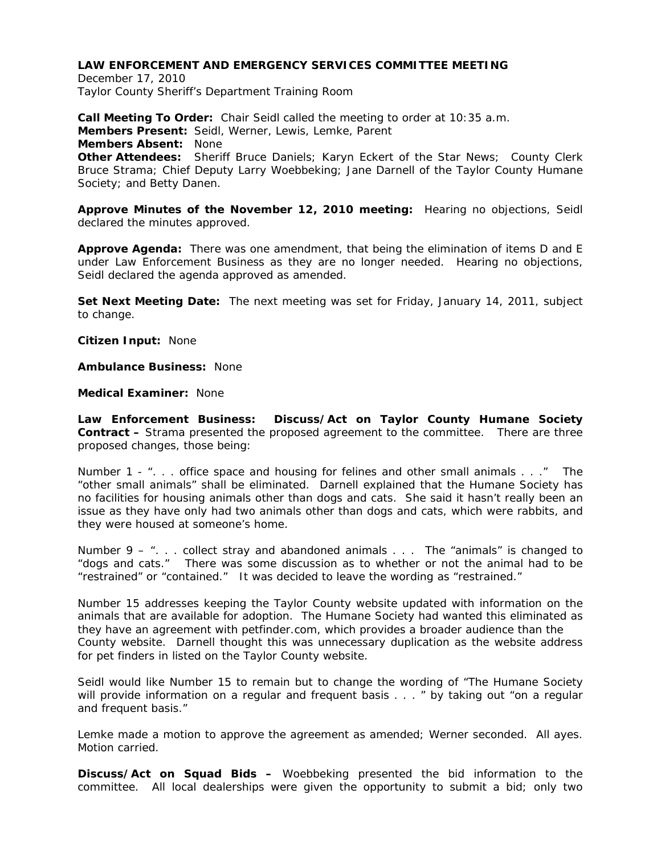December 17, 2010 Taylor County Sheriff's Department Training Room

**Call Meeting To Order:** Chair Seidl called the meeting to order at 10:35 a.m. **Members Present:** Seidl, Werner, Lewis, Lemke, Parent **Members Absent:** None **Other Attendees:** Sheriff Bruce Daniels; Karyn Eckert of the Star News; County Clerk Bruce Strama; Chief Deputy Larry Woebbeking; Jane Darnell of the Taylor County Humane Society; and Betty Danen.

**Approve Minutes of the November 12, 2010 meeting:** Hearing no objections, Seidl declared the minutes approved.

**Approve Agenda:** There was one amendment, that being the elimination of items D and E under Law Enforcement Business as they are no longer needed. Hearing no objections, Seidl declared the agenda approved as amended.

**Set Next Meeting Date:** The next meeting was set for Friday, January 14, 2011, subject to change.

**Citizen Input:** None

**Ambulance Business:** None

**Medical Examiner:** None

**Law Enforcement Business: Discuss/Act on Taylor County Humane Society Contract –** Strama presented the proposed agreement to the committee. There are three proposed changes, those being:

Number 1 - ". . . office space and housing for felines and other small animals . . ." The "other small animals" shall be eliminated. Darnell explained that the Humane Society has no facilities for housing animals other than dogs and cats. She said it hasn't really been an issue as they have only had two animals other than dogs and cats, which were rabbits, and they were housed at someone's home.

Number 9 –  $\cdot\cdot$ ... collect stray and abandoned animals ... The "animals" is changed to "dogs and cats." There was some discussion as to whether or not the animal had to be "restrained" or "contained." It was decided to leave the wording as "restrained."

Number 15 addresses keeping the Taylor County website updated with information on the animals that are available for adoption. The Humane Society had wanted this eliminated as they have an agreement with petfinder.com, which provides a broader audience than the County website. Darnell thought this was unnecessary duplication as the website address for pet finders in listed on the Taylor County website.

Seidl would like Number 15 to remain but to change the wording of "The Humane Society will provide information on a regular and frequent basis . . . " by taking out "on a regular and frequent basis."

Lemke made a motion to approve the agreement as amended; Werner seconded. All ayes. Motion carried.

**Discuss/Act on Squad Bids –** Woebbeking presented the bid information to the committee. All local dealerships were given the opportunity to submit a bid; only two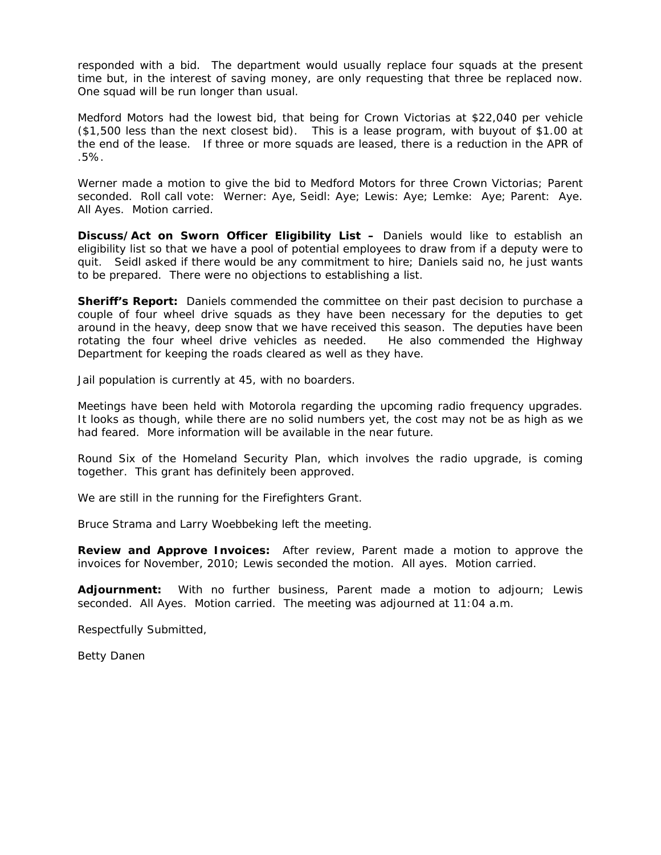responded with a bid. The department would usually replace four squads at the present time but, in the interest of saving money, are only requesting that three be replaced now. One squad will be run longer than usual.

Medford Motors had the lowest bid, that being for Crown Victorias at \$22,040 per vehicle (\$1,500 less than the next closest bid). This is a lease program, with buyout of \$1.00 at the end of the lease. If three or more squads are leased, there is a reduction in the APR of .5%.

Werner made a motion to give the bid to Medford Motors for three Crown Victorias; Parent seconded. Roll call vote: Werner: Aye, Seidl: Aye; Lewis: Aye; Lemke: Aye; Parent: Aye. All Ayes. Motion carried.

**Discuss/Act on Sworn Officer Eligibility List –** Daniels would like to establish an eligibility list so that we have a pool of potential employees to draw from if a deputy were to quit. Seidl asked if there would be any commitment to hire; Daniels said no, he just wants to be prepared. There were no objections to establishing a list.

**Sheriff's Report:** Daniels commended the committee on their past decision to purchase a couple of four wheel drive squads as they have been necessary for the deputies to get around in the heavy, deep snow that we have received this season. The deputies have been rotating the four wheel drive vehicles as needed. He also commended the Highway Department for keeping the roads cleared as well as they have.

Jail population is currently at 45, with no boarders.

Meetings have been held with Motorola regarding the upcoming radio frequency upgrades. It looks as though, while there are no solid numbers yet, the cost may not be as high as we had feared. More information will be available in the near future.

Round Six of the Homeland Security Plan, which involves the radio upgrade, is coming together. This grant has definitely been approved.

We are still in the running for the Firefighters Grant.

Bruce Strama and Larry Woebbeking left the meeting.

**Review and Approve Invoices:** After review, Parent made a motion to approve the invoices for November, 2010; Lewis seconded the motion. All ayes. Motion carried.

**Adjournment:** With no further business, Parent made a motion to adjourn; Lewis seconded. All Ayes. Motion carried. The meeting was adjourned at 11:04 a.m.

Respectfully Submitted,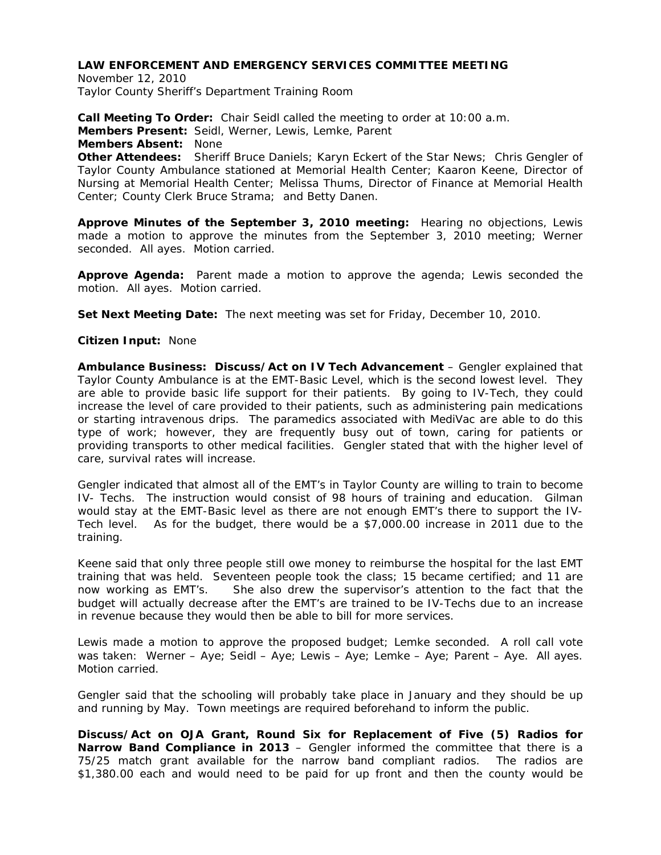November 12, 2010 Taylor County Sheriff's Department Training Room

Center; County Clerk Bruce Strama; and Betty Danen.

**Call Meeting To Order:** Chair Seidl called the meeting to order at 10:00 a.m. **Members Present:** Seidl, Werner, Lewis, Lemke, Parent **Members Absent:** None **Other Attendees:** Sheriff Bruce Daniels; Karyn Eckert of the Star News; Chris Gengler of Taylor County Ambulance stationed at Memorial Health Center; Kaaron Keene, Director of Nursing at Memorial Health Center; Melissa Thums, Director of Finance at Memorial Health

**Approve Minutes of the September 3, 2010 meeting:** Hearing no objections, Lewis made a motion to approve the minutes from the September 3, 2010 meeting; Werner seconded. All ayes. Motion carried.

**Approve Agenda:** Parent made a motion to approve the agenda; Lewis seconded the motion. All ayes. Motion carried.

**Set Next Meeting Date:** The next meeting was set for Friday, December 10, 2010.

### **Citizen Input:** None

**Ambulance Business: Discuss/Act on IV Tech Advancement** – Gengler explained that Taylor County Ambulance is at the EMT-Basic Level, which is the second lowest level. They are able to provide basic life support for their patients. By going to IV-Tech, they could increase the level of care provided to their patients, such as administering pain medications or starting intravenous drips. The paramedics associated with MediVac are able to do this type of work; however, they are frequently busy out of town, caring for patients or providing transports to other medical facilities. Gengler stated that with the higher level of care, survival rates will increase.

Gengler indicated that almost all of the EMT's in Taylor County are willing to train to become IV- Techs. The instruction would consist of 98 hours of training and education. Gilman would stay at the EMT-Basic level as there are not enough EMT's there to support the IV-Tech level. As for the budget, there would be a \$7,000.00 increase in 2011 due to the training.

Keene said that only three people still owe money to reimburse the hospital for the last EMT training that was held. Seventeen people took the class; 15 became certified; and 11 are now working as EMT's. She also drew the supervisor's attention to the fact that the budget will actually decrease after the EMT's are trained to be IV-Techs due to an increase in revenue because they would then be able to bill for more services.

Lewis made a motion to approve the proposed budget; Lemke seconded. A roll call vote was taken: Werner – Aye; Seidl – Aye; Lewis – Aye; Lemke – Aye; Parent – Aye. All ayes. Motion carried.

Gengler said that the schooling will probably take place in January and they should be up and running by May. Town meetings are required beforehand to inform the public.

**Discuss/Act on OJA Grant, Round Six for Replacement of Five (5) Radios for Narrow Band Compliance in 2013** – Gengler informed the committee that there is a 75/25 match grant available for the narrow band compliant radios. The radios are \$1,380.00 each and would need to be paid for up front and then the county would be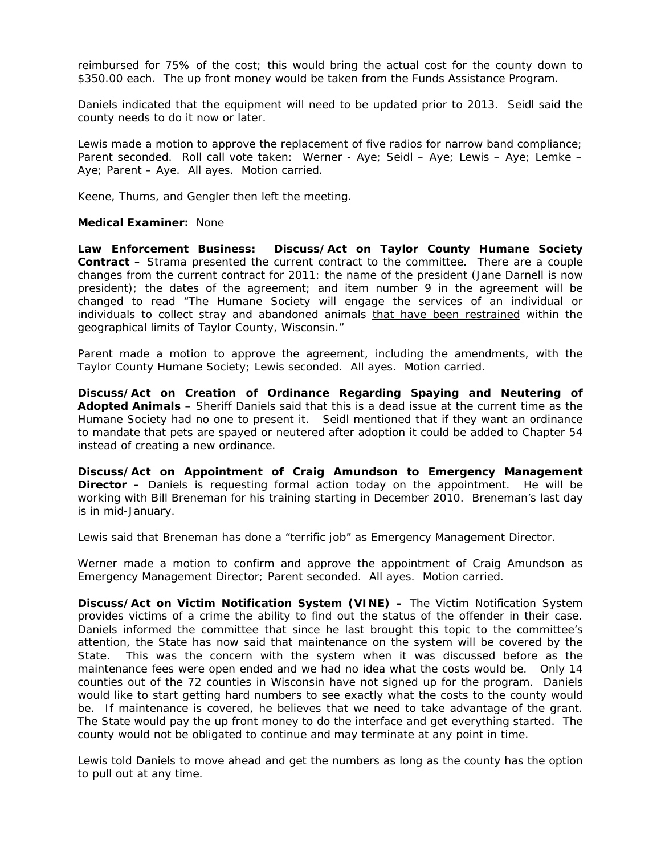reimbursed for 75% of the cost; this would bring the actual cost for the county down to \$350.00 each. The up front money would be taken from the Funds Assistance Program.

Daniels indicated that the equipment will need to be updated prior to 2013. Seidl said the county needs to do it now or later.

Lewis made a motion to approve the replacement of five radios for narrow band compliance; Parent seconded. Roll call vote taken: Werner - Aye; Seidl – Aye; Lewis – Aye; Lemke – Aye; Parent – Aye. All ayes. Motion carried.

Keene, Thums, and Gengler then left the meeting.

#### **Medical Examiner:** None

**Law Enforcement Business: Discuss/Act on Taylor County Humane Society Contract –** Strama presented the current contract to the committee. There are a couple changes from the current contract for 2011: the name of the president (Jane Darnell is now president); the dates of the agreement; and item number 9 in the agreement will be changed to read "The Humane Society will engage the services of an individual or individuals to collect stray and abandoned animals that have been restrained within the geographical limits of Taylor County, Wisconsin."

Parent made a motion to approve the agreement, including the amendments, with the Taylor County Humane Society; Lewis seconded. All ayes. Motion carried.

**Discuss/Act on Creation of Ordinance Regarding Spaying and Neutering of Adopted Animals** – Sheriff Daniels said that this is a dead issue at the current time as the Humane Society had no one to present it. Seidl mentioned that if they want an ordinance to mandate that pets are spayed or neutered after adoption it could be added to Chapter 54 instead of creating a new ordinance.

**Discuss/Act on Appointment of Craig Amundson to Emergency Management Director –** Daniels is requesting formal action today on the appointment. He will be working with Bill Breneman for his training starting in December 2010. Breneman's last day is in mid-January.

Lewis said that Breneman has done a "terrific job" as Emergency Management Director.

Werner made a motion to confirm and approve the appointment of Craig Amundson as Emergency Management Director; Parent seconded. All ayes. Motion carried.

**Discuss/Act on Victim Notification System (VINE) –** The Victim Notification System provides victims of a crime the ability to find out the status of the offender in their case. Daniels informed the committee that since he last brought this topic to the committee's attention, the State has now said that maintenance on the system will be covered by the State. This was the concern with the system when it was discussed before as the maintenance fees were open ended and we had no idea what the costs would be. Only 14 counties out of the 72 counties in Wisconsin have not signed up for the program. Daniels would like to start getting hard numbers to see exactly what the costs to the county would be. If maintenance is covered, he believes that we need to take advantage of the grant. The State would pay the up front money to do the interface and get everything started. The county would not be obligated to continue and may terminate at any point in time.

Lewis told Daniels to move ahead and get the numbers as long as the county has the option to pull out at any time.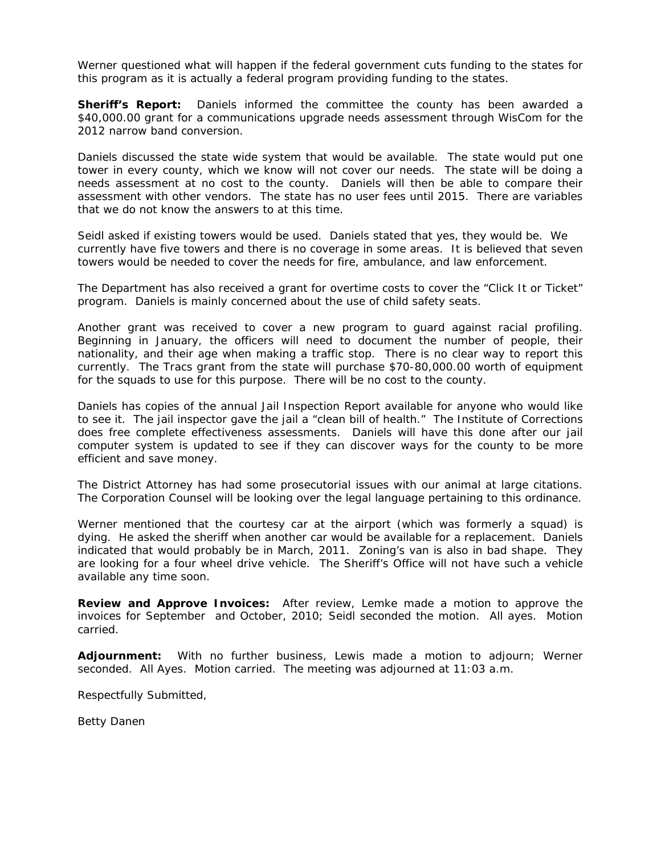Werner questioned what will happen if the federal government cuts funding to the states for this program as it is actually a federal program providing funding to the states.

**Sheriff's Report:** Daniels informed the committee the county has been awarded a \$40,000.00 grant for a communications upgrade needs assessment through WisCom for the 2012 narrow band conversion.

Daniels discussed the state wide system that would be available. The state would put one tower in every county, which we know will not cover our needs. The state will be doing a needs assessment at no cost to the county. Daniels will then be able to compare their assessment with other vendors. The state has no user fees until 2015. There are variables that we do not know the answers to at this time.

Seidl asked if existing towers would be used. Daniels stated that yes, they would be. We currently have five towers and there is no coverage in some areas. It is believed that seven towers would be needed to cover the needs for fire, ambulance, and law enforcement.

The Department has also received a grant for overtime costs to cover the "Click It or Ticket" program. Daniels is mainly concerned about the use of child safety seats.

Another grant was received to cover a new program to guard against racial profiling. Beginning in January, the officers will need to document the number of people, their nationality, and their age when making a traffic stop. There is no clear way to report this currently. The Tracs grant from the state will purchase \$70-80,000.00 worth of equipment for the squads to use for this purpose. There will be no cost to the county.

Daniels has copies of the annual Jail Inspection Report available for anyone who would like to see it. The jail inspector gave the jail a "clean bill of health." The Institute of Corrections does free complete effectiveness assessments. Daniels will have this done after our jail computer system is updated to see if they can discover ways for the county to be more efficient and save money.

The District Attorney has had some prosecutorial issues with our animal at large citations. The Corporation Counsel will be looking over the legal language pertaining to this ordinance.

Werner mentioned that the courtesy car at the airport (which was formerly a squad) is dying. He asked the sheriff when another car would be available for a replacement. Daniels indicated that would probably be in March, 2011. Zoning's van is also in bad shape. They are looking for a four wheel drive vehicle. The Sheriff's Office will not have such a vehicle available any time soon.

**Review and Approve Invoices:** After review, Lemke made a motion to approve the invoices for September and October, 2010; Seidl seconded the motion. All ayes. Motion carried.

**Adjournment:** With no further business, Lewis made a motion to adjourn; Werner seconded. All Ayes. Motion carried. The meeting was adjourned at 11:03 a.m.

Respectfully Submitted,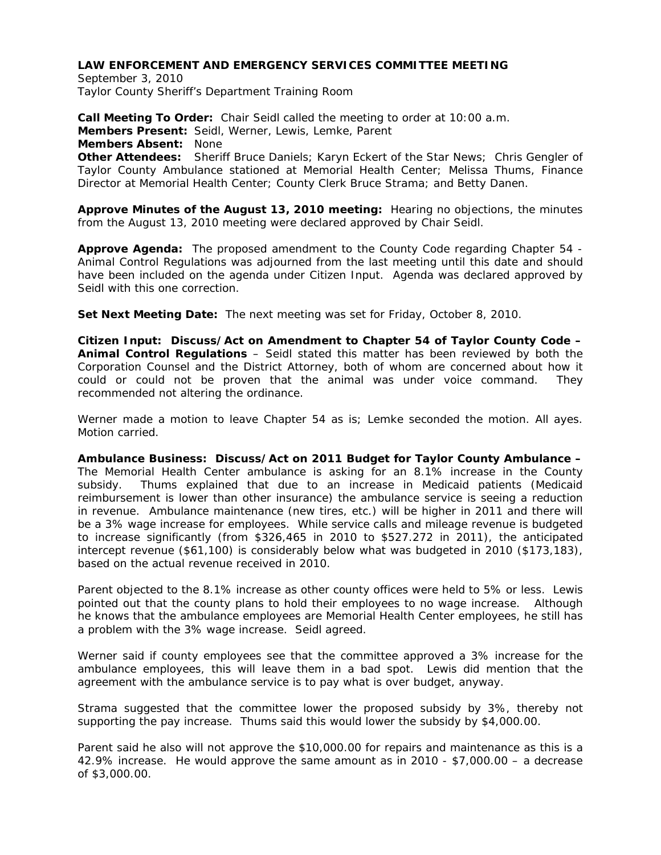September 3, 2010 Taylor County Sheriff's Department Training Room

**Call Meeting To Order:** Chair Seidl called the meeting to order at 10:00 a.m. **Members Present:** Seidl, Werner, Lewis, Lemke, Parent **Members Absent:** None **Other Attendees:** Sheriff Bruce Daniels; Karyn Eckert of the Star News; Chris Gengler of Taylor County Ambulance stationed at Memorial Health Center; Melissa Thums, Finance Director at Memorial Health Center; County Clerk Bruce Strama; and Betty Danen.

**Approve Minutes of the August 13, 2010 meeting:** Hearing no objections, the minutes from the August 13, 2010 meeting were declared approved by Chair Seidl.

**Approve Agenda:** The proposed amendment to the County Code regarding Chapter 54 - Animal Control Regulations was adjourned from the last meeting until this date and should have been included on the agenda under Citizen Input. Agenda was declared approved by Seidl with this one correction.

**Set Next Meeting Date:** The next meeting was set for Friday, October 8, 2010.

**Citizen Input: Discuss/Act on Amendment to Chapter 54 of Taylor County Code – Animal Control Regulations** – Seidl stated this matter has been reviewed by both the Corporation Counsel and the District Attorney, both of whom are concerned about how it could or could not be proven that the animal was under voice command. They recommended not altering the ordinance.

Werner made a motion to leave Chapter 54 as is; Lemke seconded the motion. All ayes. Motion carried.

**Ambulance Business: Discuss/Act on 2011 Budget for Taylor County Ambulance –**  The Memorial Health Center ambulance is asking for an 8.1% increase in the County subsidy. Thums explained that due to an increase in Medicaid patients (Medicaid reimbursement is lower than other insurance) the ambulance service is seeing a reduction in revenue. Ambulance maintenance (new tires, etc.) will be higher in 2011 and there will be a 3% wage increase for employees. While service calls and mileage revenue is budgeted to increase significantly (from \$326,465 in 2010 to \$527.272 in 2011), the anticipated intercept revenue (\$61,100) is considerably below what was budgeted in 2010 (\$173,183), based on the actual revenue received in 2010.

Parent objected to the 8.1% increase as other county offices were held to 5% or less. Lewis pointed out that the county plans to hold their employees to no wage increase. Although he knows that the ambulance employees are Memorial Health Center employees, he still has a problem with the 3% wage increase. Seidl agreed.

Werner said if county employees see that the committee approved a 3% increase for the ambulance employees, this will leave them in a bad spot. Lewis did mention that the agreement with the ambulance service is to pay what is over budget, anyway.

Strama suggested that the committee lower the proposed subsidy by 3%, thereby not supporting the pay increase. Thums said this would lower the subsidy by \$4,000.00.

Parent said he also will not approve the \$10,000.00 for repairs and maintenance as this is a 42.9% increase. He would approve the same amount as in 2010 - \$7,000.00 – a decrease of \$3,000.00.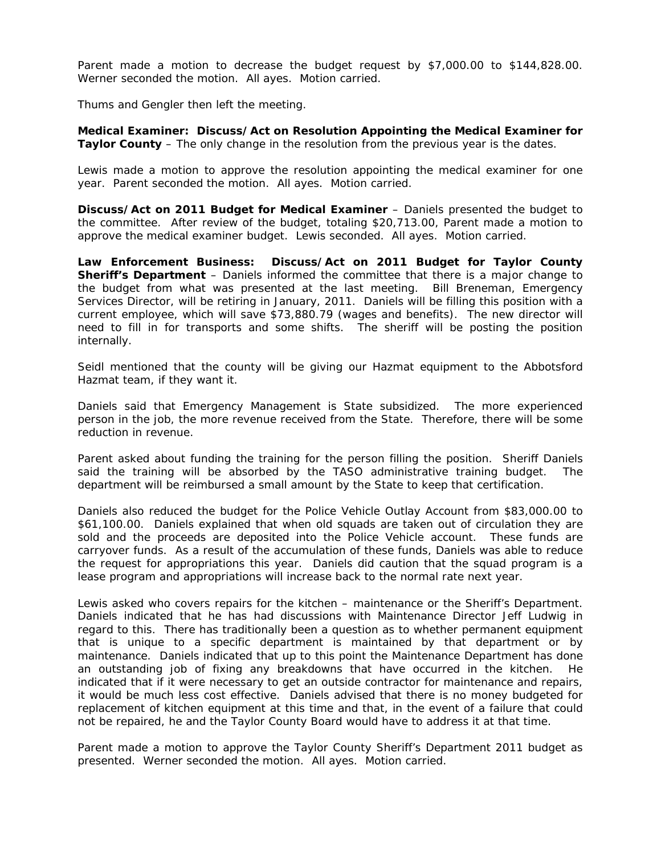Parent made a motion to decrease the budget request by \$7,000.00 to \$144,828.00. Werner seconded the motion. All ayes. Motion carried.

Thums and Gengler then left the meeting.

**Medical Examiner: Discuss/Act on Resolution Appointing the Medical Examiner for Taylor County** – The only change in the resolution from the previous year is the dates.

Lewis made a motion to approve the resolution appointing the medical examiner for one year. Parent seconded the motion. All ayes. Motion carried.

**Discuss/Act on 2011 Budget for Medical Examiner** – Daniels presented the budget to the committee. After review of the budget, totaling \$20,713.00, Parent made a motion to approve the medical examiner budget. Lewis seconded. All ayes. Motion carried.

**Law Enforcement Business: Discuss/Act on 2011 Budget for Taylor County Sheriff's Department** – Daniels informed the committee that there is a major change to the budget from what was presented at the last meeting. Bill Breneman, Emergency Services Director, will be retiring in January, 2011. Daniels will be filling this position with a current employee, which will save \$73,880.79 (wages and benefits). The new director will need to fill in for transports and some shifts. The sheriff will be posting the position internally.

Seidl mentioned that the county will be giving our Hazmat equipment to the Abbotsford Hazmat team, if they want it.

Daniels said that Emergency Management is State subsidized. The more experienced person in the job, the more revenue received from the State. Therefore, there will be some reduction in revenue.

Parent asked about funding the training for the person filling the position. Sheriff Daniels said the training will be absorbed by the TASO administrative training budget. The department will be reimbursed a small amount by the State to keep that certification.

Daniels also reduced the budget for the Police Vehicle Outlay Account from \$83,000.00 to \$61,100.00. Daniels explained that when old squads are taken out of circulation they are sold and the proceeds are deposited into the Police Vehicle account. These funds are carryover funds. As a result of the accumulation of these funds, Daniels was able to reduce the request for appropriations this year. Daniels did caution that the squad program is a lease program and appropriations will increase back to the normal rate next year.

Lewis asked who covers repairs for the kitchen – maintenance or the Sheriff's Department. Daniels indicated that he has had discussions with Maintenance Director Jeff Ludwig in regard to this. There has traditionally been a question as to whether permanent equipment that is unique to a specific department is maintained by that department or by maintenance. Daniels indicated that up to this point the Maintenance Department has done an outstanding job of fixing any breakdowns that have occurred in the kitchen. He indicated that if it were necessary to get an outside contractor for maintenance and repairs, it would be much less cost effective. Daniels advised that there is no money budgeted for replacement of kitchen equipment at this time and that, in the event of a failure that could not be repaired, he and the Taylor County Board would have to address it at that time.

Parent made a motion to approve the Taylor County Sheriff's Department 2011 budget as presented. Werner seconded the motion. All ayes. Motion carried.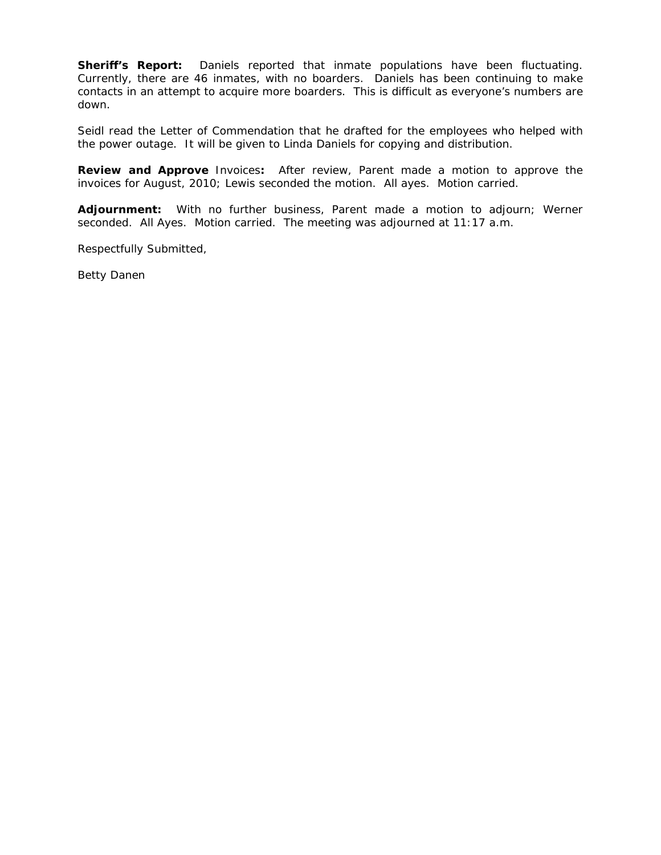**Sheriff's Report:** Daniels reported that inmate populations have been fluctuating. Currently, there are 46 inmates, with no boarders. Daniels has been continuing to make contacts in an attempt to acquire more boarders. This is difficult as everyone's numbers are down.

Seidl read the Letter of Commendation that he drafted for the employees who helped with the power outage. It will be given to Linda Daniels for copying and distribution.

**Review and Approve** Invoices**:** After review, Parent made a motion to approve the invoices for August, 2010; Lewis seconded the motion. All ayes. Motion carried.

**Adjournment:** With no further business, Parent made a motion to adjourn; Werner seconded. All Ayes. Motion carried. The meeting was adjourned at 11:17 a.m.

Respectfully Submitted,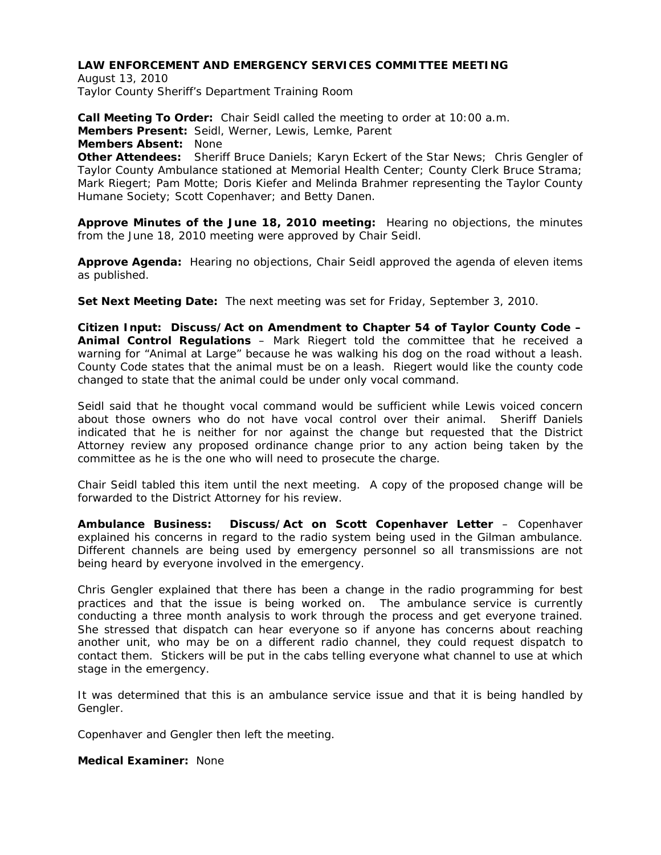August 13, 2010 Taylor County Sheriff's Department Training Room

**Call Meeting To Order:** Chair Seidl called the meeting to order at 10:00 a.m. **Members Present:** Seidl, Werner, Lewis, Lemke, Parent **Members Absent:** None **Other Attendees:** Sheriff Bruce Daniels; Karyn Eckert of the Star News; Chris Gengler of

Taylor County Ambulance stationed at Memorial Health Center; County Clerk Bruce Strama; Mark Riegert; Pam Motte; Doris Kiefer and Melinda Brahmer representing the Taylor County Humane Society; Scott Copenhaver; and Betty Danen.

**Approve Minutes of the June 18, 2010 meeting:** Hearing no objections, the minutes from the June 18, 2010 meeting were approved by Chair Seidl.

**Approve Agenda:** Hearing no objections, Chair Seidl approved the agenda of eleven items as published.

**Set Next Meeting Date:** The next meeting was set for Friday, September 3, 2010.

**Citizen Input: Discuss/Act on Amendment to Chapter 54 of Taylor County Code – Animal Control Regulations** – Mark Riegert told the committee that he received a warning for "Animal at Large" because he was walking his dog on the road without a leash. County Code states that the animal must be on a leash. Riegert would like the county code changed to state that the animal could be under only vocal command.

Seidl said that he thought vocal command would be sufficient while Lewis voiced concern about those owners who do not have vocal control over their animal. Sheriff Daniels indicated that he is neither for nor against the change but requested that the District Attorney review any proposed ordinance change prior to any action being taken by the committee as he is the one who will need to prosecute the charge.

Chair Seidl tabled this item until the next meeting. A copy of the proposed change will be forwarded to the District Attorney for his review.

**Ambulance Business: Discuss/Act on Scott Copenhaver Letter** – Copenhaver explained his concerns in regard to the radio system being used in the Gilman ambulance. Different channels are being used by emergency personnel so all transmissions are not being heard by everyone involved in the emergency.

Chris Gengler explained that there has been a change in the radio programming for best practices and that the issue is being worked on. The ambulance service is currently conducting a three month analysis to work through the process and get everyone trained. She stressed that dispatch can hear everyone so if anyone has concerns about reaching another unit, who may be on a different radio channel, they could request dispatch to contact them. Stickers will be put in the cabs telling everyone what channel to use at which stage in the emergency.

It was determined that this is an ambulance service issue and that it is being handled by Gengler.

Copenhaver and Gengler then left the meeting.

**Medical Examiner:** None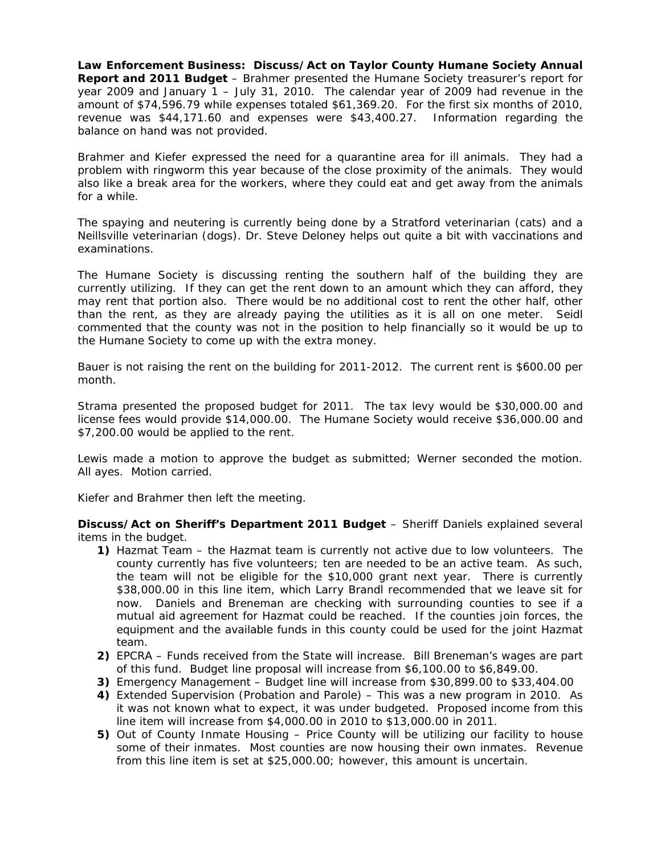**Law Enforcement Business: Discuss/Act on Taylor County Humane Society Annual Report and 2011 Budget** – Brahmer presented the Humane Society treasurer's report for year 2009 and January 1 – July 31, 2010. The calendar year of 2009 had revenue in the amount of \$74,596.79 while expenses totaled \$61,369.20. For the first six months of 2010, revenue was \$44,171.60 and expenses were \$43,400.27. Information regarding the balance on hand was not provided.

Brahmer and Kiefer expressed the need for a quarantine area for ill animals. They had a problem with ringworm this year because of the close proximity of the animals. They would also like a break area for the workers, where they could eat and get away from the animals for a while.

The spaying and neutering is currently being done by a Stratford veterinarian (cats) and a Neillsville veterinarian (dogs). Dr. Steve Deloney helps out quite a bit with vaccinations and examinations.

The Humane Society is discussing renting the southern half of the building they are currently utilizing. If they can get the rent down to an amount which they can afford, they may rent that portion also. There would be no additional cost to rent the other half, other than the rent, as they are already paying the utilities as it is all on one meter. Seidl commented that the county was not in the position to help financially so it would be up to the Humane Society to come up with the extra money.

Bauer is not raising the rent on the building for 2011-2012. The current rent is \$600.00 per month.

Strama presented the proposed budget for 2011. The tax levy would be \$30,000.00 and license fees would provide \$14,000.00. The Humane Society would receive \$36,000.00 and \$7,200.00 would be applied to the rent.

Lewis made a motion to approve the budget as submitted; Werner seconded the motion. All ayes. Motion carried.

Kiefer and Brahmer then left the meeting.

**Discuss/Act on Sheriff's Department 2011 Budget** – Sheriff Daniels explained several items in the budget.

- **1)** Hazmat Team the Hazmat team is currently not active due to low volunteers. The county currently has five volunteers; ten are needed to be an active team. As such, the team will not be eligible for the \$10,000 grant next year. There is currently \$38,000.00 in this line item, which Larry Brandl recommended that we leave sit for now. Daniels and Breneman are checking with surrounding counties to see if a mutual aid agreement for Hazmat could be reached. If the counties join forces, the equipment and the available funds in this county could be used for the joint Hazmat team.
- **2)** EPCRA Funds received from the State will increase. Bill Breneman's wages are part of this fund. Budget line proposal will increase from \$6,100.00 to \$6,849.00.
- **3)** Emergency Management Budget line will increase from \$30,899.00 to \$33,404.00
- **4)** Extended Supervision (Probation and Parole) This was a new program in 2010. As it was not known what to expect, it was under budgeted. Proposed income from this line item will increase from \$4,000.00 in 2010 to \$13,000.00 in 2011.
- **5)** Out of County Inmate Housing Price County will be utilizing our facility to house some of their inmates. Most counties are now housing their own inmates. Revenue from this line item is set at \$25,000.00; however, this amount is uncertain.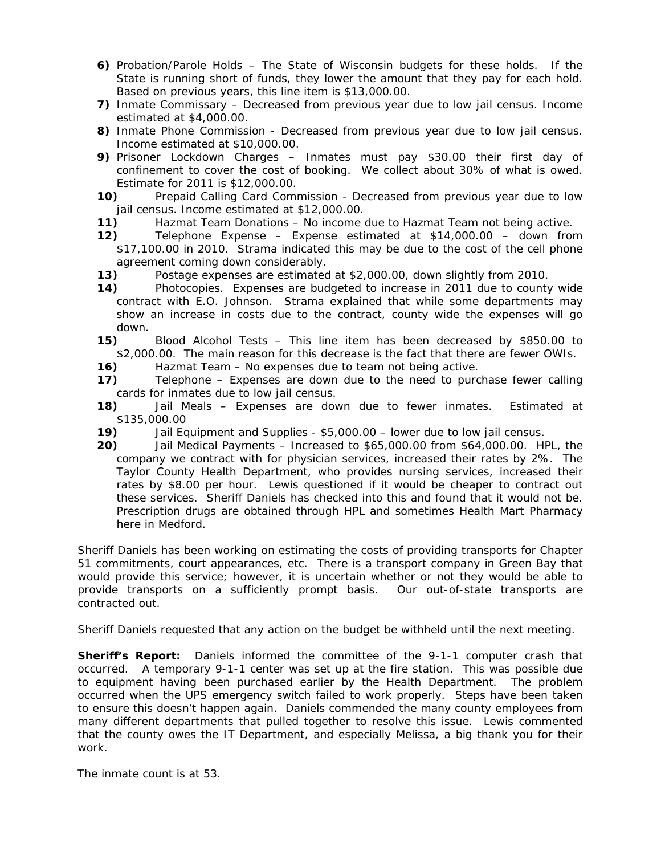- **6)** Probation/Parole Holds The State of Wisconsin budgets for these holds. If the State is running short of funds, they lower the amount that they pay for each hold. Based on previous years, this line item is \$13,000.00.
- **7)** Inmate Commissary Decreased from previous year due to low jail census. Income estimated at \$4,000.00.
- **8)** Inmate Phone Commission Decreased from previous year due to low jail census. Income estimated at \$10,000.00.
- **9)** Prisoner Lockdown Charges Inmates must pay \$30.00 their first day of confinement to cover the cost of booking. We collect about 30% of what is owed. Estimate for 2011 is \$12,000.00.
- **10)** Prepaid Calling Card Commission Decreased from previous year due to low jail census. Income estimated at \$12,000.00.
- **11)** Hazmat Team Donations No income due to Hazmat Team not being active.
- **12)** Telephone Expense Expense estimated at \$14,000.00 down from \$17,100.00 in 2010. Strama indicated this may be due to the cost of the cell phone agreement coming down considerably.
- **13)** Postage expenses are estimated at \$2,000.00, down slightly from 2010.
- **14)** Photocopies. Expenses are budgeted to increase in 2011 due to county wide contract with E.O. Johnson. Strama explained that while some departments may show an increase in costs due to the contract, county wide the expenses will go down.
- **15)** Blood Alcohol Tests This line item has been decreased by \$850.00 to \$2,000.00. The main reason for this decrease is the fact that there are fewer OWIs.
- **16)** Hazmat Team No expenses due to team not being active.
- **17)** Telephone Expenses are down due to the need to purchase fewer calling cards for inmates due to low jail census.
- **18)** Jail Meals Expenses are down due to fewer inmates. Estimated at \$135,000.00
- **19)** Jail Equipment and Supplies \$5,000.00 lower due to low jail census.
- **20)** Jail Medical Payments Increased to \$65,000.00 from \$64,000.00. HPL, the company we contract with for physician services, increased their rates by 2%. The Taylor County Health Department, who provides nursing services, increased their rates by \$8.00 per hour. Lewis questioned if it would be cheaper to contract out these services. Sheriff Daniels has checked into this and found that it would not be. Prescription drugs are obtained through HPL and sometimes Health Mart Pharmacy here in Medford.

Sheriff Daniels has been working on estimating the costs of providing transports for Chapter 51 commitments, court appearances, etc. There is a transport company in Green Bay that would provide this service; however, it is uncertain whether or not they would be able to provide transports on a sufficiently prompt basis. Our out-of-state transports are contracted out.

Sheriff Daniels requested that any action on the budget be withheld until the next meeting.

**Sheriff's Report:** Daniels informed the committee of the 9-1-1 computer crash that occurred. A temporary 9-1-1 center was set up at the fire station. This was possible due to equipment having been purchased earlier by the Health Department. The problem occurred when the UPS emergency switch failed to work properly. Steps have been taken to ensure this doesn't happen again. Daniels commended the many county employees from many different departments that pulled together to resolve this issue. Lewis commented that the county owes the IT Department, and especially Melissa, a big thank you for their work.

The inmate count is at 53.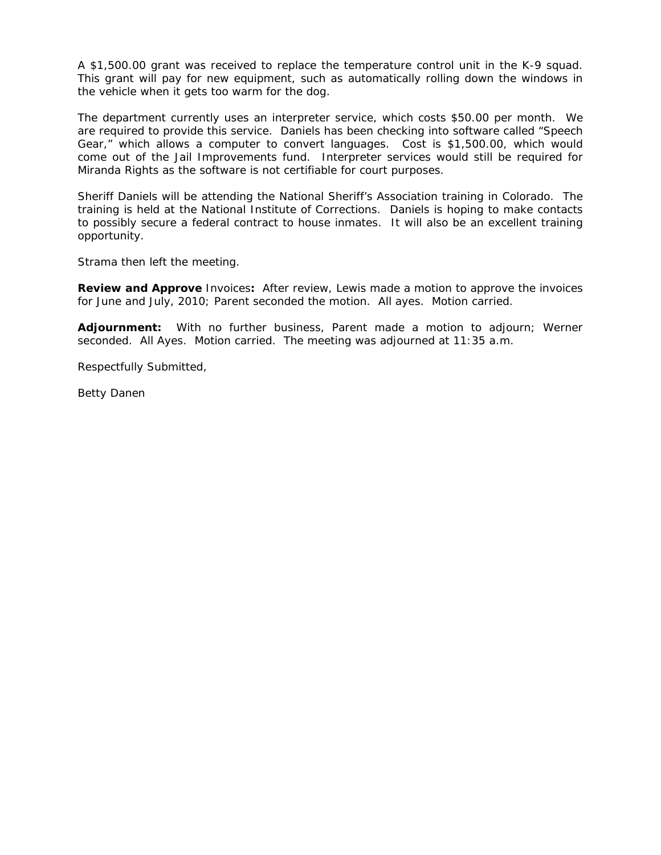A \$1,500.00 grant was received to replace the temperature control unit in the K-9 squad. This grant will pay for new equipment, such as automatically rolling down the windows in the vehicle when it gets too warm for the dog.

The department currently uses an interpreter service, which costs \$50.00 per month. We are required to provide this service. Daniels has been checking into software called "Speech Gear," which allows a computer to convert languages. Cost is \$1,500.00, which would come out of the Jail Improvements fund. Interpreter services would still be required for Miranda Rights as the software is not certifiable for court purposes.

Sheriff Daniels will be attending the National Sheriff's Association training in Colorado. The training is held at the National Institute of Corrections. Daniels is hoping to make contacts to possibly secure a federal contract to house inmates. It will also be an excellent training opportunity.

Strama then left the meeting.

**Review and Approve** Invoices**:** After review, Lewis made a motion to approve the invoices for June and July, 2010; Parent seconded the motion. All ayes. Motion carried.

**Adjournment:** With no further business, Parent made a motion to adjourn; Werner seconded. All Ayes. Motion carried. The meeting was adjourned at 11:35 a.m.

Respectfully Submitted,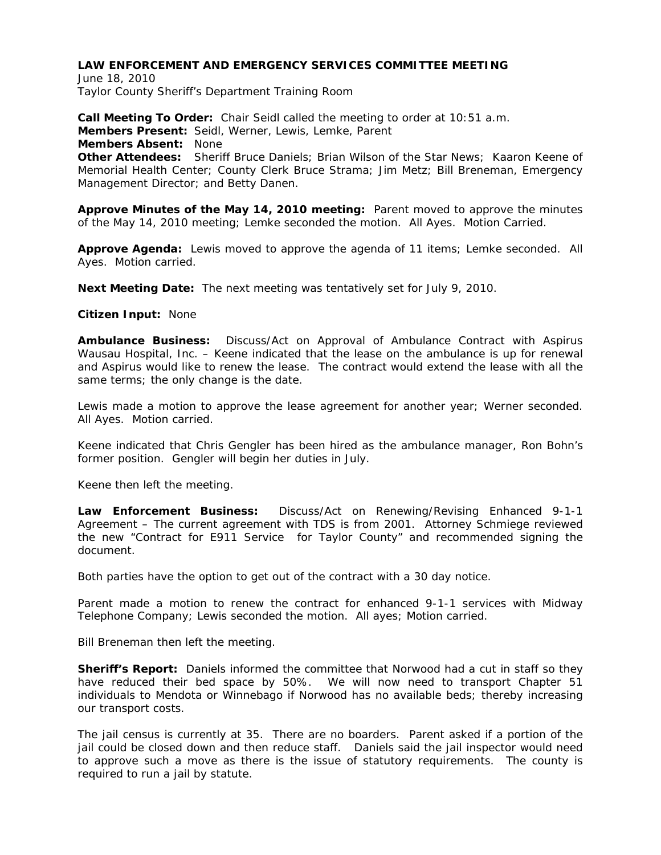June 18, 2010 Taylor County Sheriff's Department Training Room

**Call Meeting To Order:** Chair Seidl called the meeting to order at 10:51 a.m. **Members Present:** Seidl, Werner, Lewis, Lemke, Parent **Members Absent:** None **Other Attendees:** Sheriff Bruce Daniels; Brian Wilson of the Star News; Kaaron Keene of Memorial Health Center; County Clerk Bruce Strama; Jim Metz; Bill Breneman, Emergency Management Director; and Betty Danen.

**Approve Minutes of the May 14, 2010 meeting:** Parent moved to approve the minutes of the May 14, 2010 meeting; Lemke seconded the motion. All Ayes. Motion Carried.

**Approve Agenda:** Lewis moved to approve the agenda of 11 items; Lemke seconded. All Ayes. Motion carried.

**Next Meeting Date:** The next meeting was tentatively set for July 9, 2010.

#### **Citizen Input:** None

**Ambulance Business:** Discuss/Act on Approval of Ambulance Contract with Aspirus Wausau Hospital, Inc. – Keene indicated that the lease on the ambulance is up for renewal and Aspirus would like to renew the lease. The contract would extend the lease with all the same terms; the only change is the date.

Lewis made a motion to approve the lease agreement for another year; Werner seconded. All Ayes. Motion carried.

Keene indicated that Chris Gengler has been hired as the ambulance manager, Ron Bohn's former position. Gengler will begin her duties in July.

Keene then left the meeting.

**Law Enforcement Business:** Discuss/Act on Renewing/Revising Enhanced 9-1-1 Agreement – The current agreement with TDS is from 2001. Attorney Schmiege reviewed the new "Contract for E911 Service for Taylor County" and recommended signing the document.

Both parties have the option to get out of the contract with a 30 day notice.

Parent made a motion to renew the contract for enhanced 9-1-1 services with Midway Telephone Company; Lewis seconded the motion. All ayes; Motion carried.

Bill Breneman then left the meeting.

**Sheriff's Report:** Daniels informed the committee that Norwood had a cut in staff so they have reduced their bed space by 50%. We will now need to transport Chapter 51 individuals to Mendota or Winnebago if Norwood has no available beds; thereby increasing our transport costs.

The jail census is currently at 35. There are no boarders. Parent asked if a portion of the jail could be closed down and then reduce staff. Daniels said the jail inspector would need to approve such a move as there is the issue of statutory requirements. The county is required to run a jail by statute.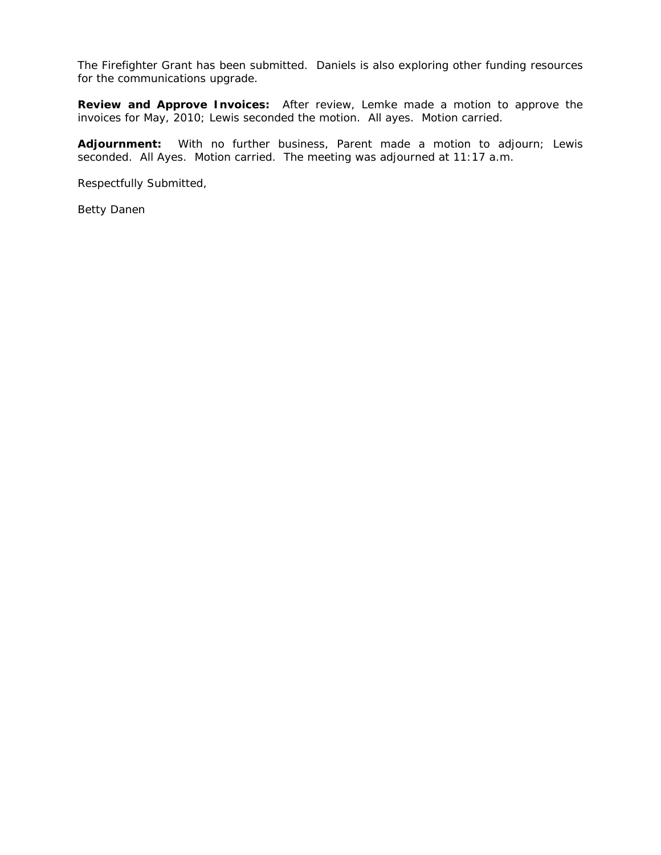The Firefighter Grant has been submitted. Daniels is also exploring other funding resources for the communications upgrade.

**Review and Approve Invoices:** After review, Lemke made a motion to approve the invoices for May, 2010; Lewis seconded the motion. All ayes. Motion carried.

**Adjournment:** With no further business, Parent made a motion to adjourn; Lewis seconded. All Ayes. Motion carried. The meeting was adjourned at 11:17 a.m.

Respectfully Submitted,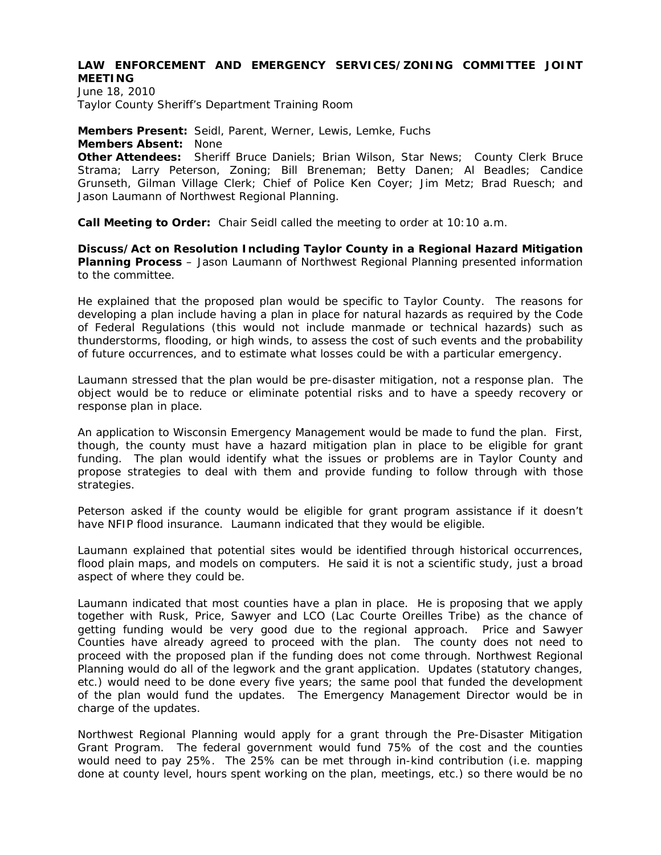# **LAW ENFORCEMENT AND EMERGENCY SERVICES/ZONING COMMITTEE JOINT MEETING**

June 18, 2010 Taylor County Sheriff's Department Training Room

**Members Present:** Seidl, Parent, Werner, Lewis, Lemke, Fuchs **Members Absent:** None **Other Attendees:** Sheriff Bruce Daniels; Brian Wilson, Star News; County Clerk Bruce Strama; Larry Peterson, Zoning; Bill Breneman; Betty Danen; Al Beadles; Candice Grunseth, Gilman Village Clerk; Chief of Police Ken Coyer; Jim Metz; Brad Ruesch; and Jason Laumann of Northwest Regional Planning.

**Call Meeting to Order:** Chair Seidl called the meeting to order at 10:10 a.m.

**Discuss/Act on Resolution Including Taylor County in a Regional Hazard Mitigation Planning Process** – Jason Laumann of Northwest Regional Planning presented information to the committee.

He explained that the proposed plan would be specific to Taylor County. The reasons for developing a plan include having a plan in place for natural hazards as required by the Code of Federal Regulations (this would not include manmade or technical hazards) such as thunderstorms, flooding, or high winds, to assess the cost of such events and the probability of future occurrences, and to estimate what losses could be with a particular emergency.

Laumann stressed that the plan would be pre-disaster mitigation, not a response plan. The object would be to reduce or eliminate potential risks and to have a speedy recovery or response plan in place.

An application to Wisconsin Emergency Management would be made to fund the plan. First, though, the county must have a hazard mitigation plan in place to be eligible for grant funding. The plan would identify what the issues or problems are in Taylor County and propose strategies to deal with them and provide funding to follow through with those strategies.

Peterson asked if the county would be eligible for grant program assistance if it doesn't have NFIP flood insurance. Laumann indicated that they would be eligible.

Laumann explained that potential sites would be identified through historical occurrences, flood plain maps, and models on computers. He said it is not a scientific study, just a broad aspect of where they could be.

Laumann indicated that most counties have a plan in place. He is proposing that we apply together with Rusk, Price, Sawyer and LCO (Lac Courte Oreilles Tribe) as the chance of getting funding would be very good due to the regional approach. Price and Sawyer Counties have already agreed to proceed with the plan. The county does not need to proceed with the proposed plan if the funding does not come through. Northwest Regional Planning would do all of the legwork and the grant application. Updates (statutory changes, etc.) would need to be done every five years; the same pool that funded the development of the plan would fund the updates. The Emergency Management Director would be in charge of the updates.

Northwest Regional Planning would apply for a grant through the Pre-Disaster Mitigation Grant Program. The federal government would fund 75% of the cost and the counties would need to pay 25%. The 25% can be met through in-kind contribution (i.e. mapping done at county level, hours spent working on the plan, meetings, etc.) so there would be no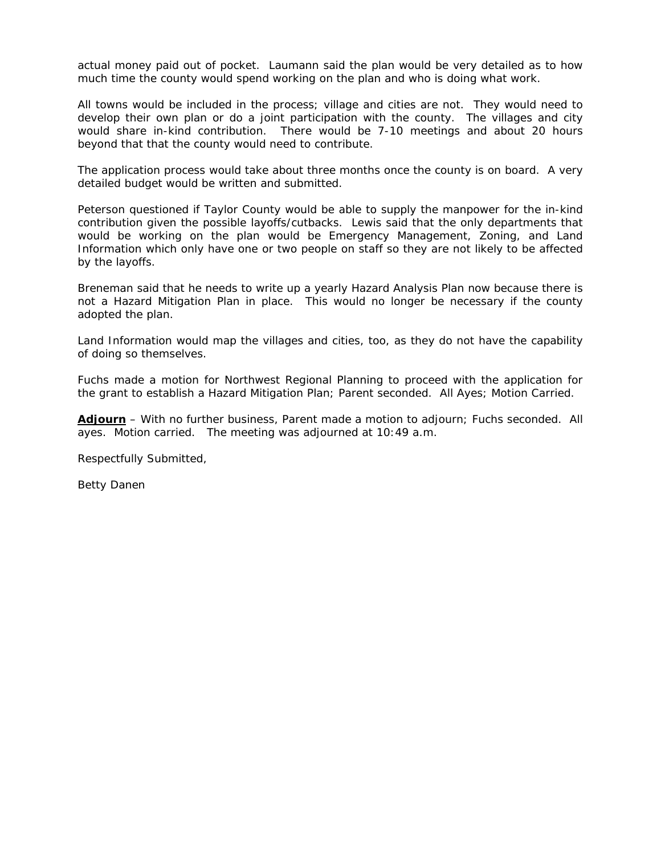actual money paid out of pocket. Laumann said the plan would be very detailed as to how much time the county would spend working on the plan and who is doing what work.

All towns would be included in the process; village and cities are not. They would need to develop their own plan or do a joint participation with the county. The villages and city would share in-kind contribution. There would be 7-10 meetings and about 20 hours beyond that that the county would need to contribute.

The application process would take about three months once the county is on board. A very detailed budget would be written and submitted.

Peterson questioned if Taylor County would be able to supply the manpower for the in-kind contribution given the possible layoffs/cutbacks. Lewis said that the only departments that would be working on the plan would be Emergency Management, Zoning, and Land Information which only have one or two people on staff so they are not likely to be affected by the layoffs.

Breneman said that he needs to write up a yearly Hazard Analysis Plan now because there is not a Hazard Mitigation Plan in place. This would no longer be necessary if the county adopted the plan.

Land Information would map the villages and cities, too, as they do not have the capability of doing so themselves.

Fuchs made a motion for Northwest Regional Planning to proceed with the application for the grant to establish a Hazard Mitigation Plan; Parent seconded. All Ayes; Motion Carried.

**Adjourn** – With no further business, Parent made a motion to adjourn; Fuchs seconded. All ayes. Motion carried. The meeting was adjourned at 10:49 a.m.

Respectfully Submitted,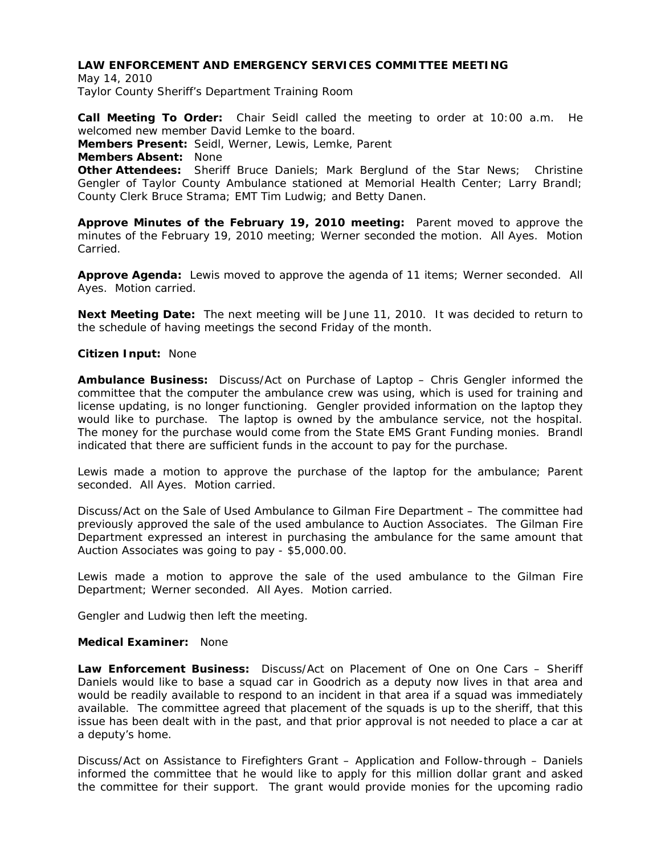May 14, 2010 Taylor County Sheriff's Department Training Room

**Call Meeting To Order:** Chair Seidl called the meeting to order at 10:00 a.m. He welcomed new member David Lemke to the board. **Members Present:** Seidl, Werner, Lewis, Lemke, Parent **Members Absent:** None **Other Attendees:** Sheriff Bruce Daniels; Mark Berglund of the Star News; Christine Gengler of Taylor County Ambulance stationed at Memorial Health Center; Larry Brandl;

County Clerk Bruce Strama; EMT Tim Ludwig; and Betty Danen.

**Approve Minutes of the February 19, 2010 meeting:** Parent moved to approve the minutes of the February 19, 2010 meeting; Werner seconded the motion. All Ayes. Motion Carried.

**Approve Agenda:** Lewis moved to approve the agenda of 11 items; Werner seconded. All Ayes. Motion carried.

**Next Meeting Date:** The next meeting will be June 11, 2010. It was decided to return to the schedule of having meetings the second Friday of the month.

#### **Citizen Input:** None

**Ambulance Business:** Discuss/Act on Purchase of Laptop – Chris Gengler informed the committee that the computer the ambulance crew was using, which is used for training and license updating, is no longer functioning. Gengler provided information on the laptop they would like to purchase. The laptop is owned by the ambulance service, not the hospital. The money for the purchase would come from the State EMS Grant Funding monies. Brandl indicated that there are sufficient funds in the account to pay for the purchase.

Lewis made a motion to approve the purchase of the laptop for the ambulance; Parent seconded. All Ayes. Motion carried.

Discuss/Act on the Sale of Used Ambulance to Gilman Fire Department – The committee had previously approved the sale of the used ambulance to Auction Associates. The Gilman Fire Department expressed an interest in purchasing the ambulance for the same amount that Auction Associates was going to pay - \$5,000.00.

Lewis made a motion to approve the sale of the used ambulance to the Gilman Fire Department; Werner seconded. All Ayes. Motion carried.

Gengler and Ludwig then left the meeting.

# **Medical Examiner:** None

**Law Enforcement Business:** Discuss/Act on Placement of One on One Cars – Sheriff Daniels would like to base a squad car in Goodrich as a deputy now lives in that area and would be readily available to respond to an incident in that area if a squad was immediately available. The committee agreed that placement of the squads is up to the sheriff, that this issue has been dealt with in the past, and that prior approval is not needed to place a car at a deputy's home.

Discuss/Act on Assistance to Firefighters Grant – Application and Follow-through – Daniels informed the committee that he would like to apply for this million dollar grant and asked the committee for their support. The grant would provide monies for the upcoming radio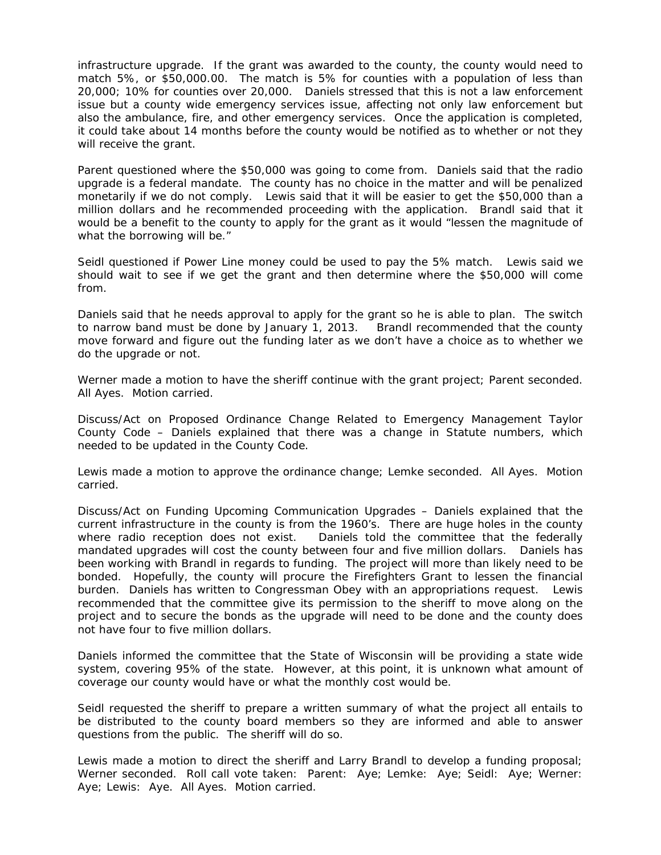infrastructure upgrade. If the grant was awarded to the county, the county would need to match 5%, or \$50,000.00. The match is 5% for counties with a population of less than 20,000; 10% for counties over 20,000. Daniels stressed that this is not a law enforcement issue but a county wide emergency services issue, affecting not only law enforcement but also the ambulance, fire, and other emergency services. Once the application is completed, it could take about 14 months before the county would be notified as to whether or not they will receive the grant.

Parent questioned where the \$50,000 was going to come from. Daniels said that the radio upgrade is a federal mandate. The county has no choice in the matter and will be penalized monetarily if we do not comply. Lewis said that it will be easier to get the \$50,000 than a million dollars and he recommended proceeding with the application. Brandl said that it would be a benefit to the county to apply for the grant as it would "lessen the magnitude of what the borrowing will be."

Seidl questioned if Power Line money could be used to pay the 5% match. Lewis said we should wait to see if we get the grant and then determine where the \$50,000 will come from.

Daniels said that he needs approval to apply for the grant so he is able to plan. The switch to narrow band must be done by January 1, 2013. Brandl recommended that the county move forward and figure out the funding later as we don't have a choice as to whether we do the upgrade or not.

Werner made a motion to have the sheriff continue with the grant project; Parent seconded. All Ayes. Motion carried.

Discuss/Act on Proposed Ordinance Change Related to Emergency Management Taylor County Code – Daniels explained that there was a change in Statute numbers, which needed to be updated in the County Code.

Lewis made a motion to approve the ordinance change; Lemke seconded. All Ayes. Motion carried.

Discuss/Act on Funding Upcoming Communication Upgrades – Daniels explained that the current infrastructure in the county is from the 1960's. There are huge holes in the county where radio reception does not exist. Daniels told the committee that the federally mandated upgrades will cost the county between four and five million dollars. Daniels has been working with Brandl in regards to funding. The project will more than likely need to be bonded. Hopefully, the county will procure the Firefighters Grant to lessen the financial burden. Daniels has written to Congressman Obey with an appropriations request. Lewis recommended that the committee give its permission to the sheriff to move along on the project and to secure the bonds as the upgrade will need to be done and the county does not have four to five million dollars.

Daniels informed the committee that the State of Wisconsin will be providing a state wide system, covering 95% of the state. However, at this point, it is unknown what amount of coverage our county would have or what the monthly cost would be.

Seidl requested the sheriff to prepare a written summary of what the project all entails to be distributed to the county board members so they are informed and able to answer questions from the public. The sheriff will do so.

Lewis made a motion to direct the sheriff and Larry Brandl to develop a funding proposal; Werner seconded. Roll call vote taken: Parent: Aye; Lemke: Aye; Seidl: Aye; Werner: Aye; Lewis: Aye. All Ayes. Motion carried.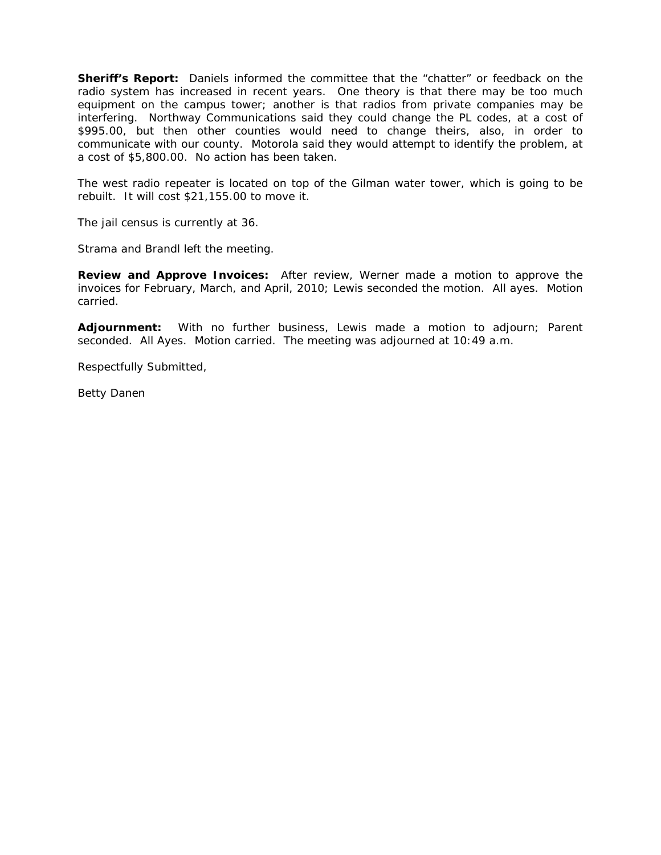**Sheriff's Report:** Daniels informed the committee that the "chatter" or feedback on the radio system has increased in recent years. One theory is that there may be too much equipment on the campus tower; another is that radios from private companies may be interfering. Northway Communications said they could change the PL codes, at a cost of \$995.00, but then other counties would need to change theirs, also, in order to communicate with our county. Motorola said they would attempt to identify the problem, at a cost of \$5,800.00. No action has been taken.

The west radio repeater is located on top of the Gilman water tower, which is going to be rebuilt. It will cost \$21,155.00 to move it.

The jail census is currently at 36.

Strama and Brandl left the meeting.

**Review and Approve Invoices:** After review, Werner made a motion to approve the invoices for February, March, and April, 2010; Lewis seconded the motion. All ayes. Motion carried.

**Adjournment:** With no further business, Lewis made a motion to adjourn; Parent seconded. All Ayes. Motion carried. The meeting was adjourned at 10:49 a.m.

Respectfully Submitted,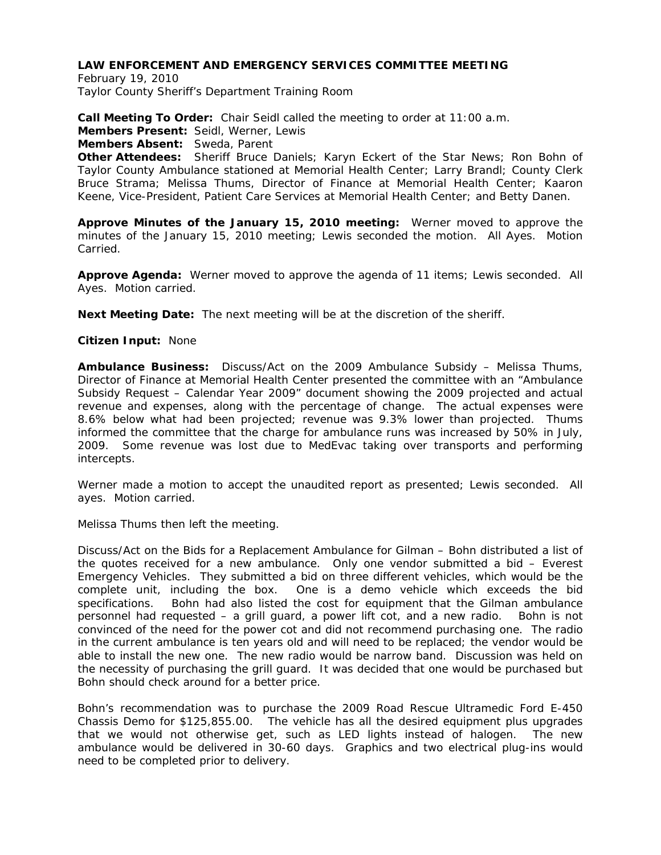February 19, 2010 Taylor County Sheriff's Department Training Room

**Call Meeting To Order:** Chair Seidl called the meeting to order at 11:00 a.m. **Members Present:** Seidl, Werner, Lewis **Members Absent:** Sweda, Parent **Other Attendees:** Sheriff Bruce Daniels; Karyn Eckert of the Star News; Ron Bohn of Taylor County Ambulance stationed at Memorial Health Center; Larry Brandl; County Clerk Bruce Strama; Melissa Thums, Director of Finance at Memorial Health Center; Kaaron

Keene, Vice-President, Patient Care Services at Memorial Health Center; and Betty Danen.

**Approve Minutes of the January 15, 2010 meeting:** Werner moved to approve the minutes of the January 15, 2010 meeting; Lewis seconded the motion. All Ayes. Motion Carried.

**Approve Agenda:** Werner moved to approve the agenda of 11 items; Lewis seconded. All Ayes. Motion carried.

**Next Meeting Date:** The next meeting will be at the discretion of the sheriff.

#### **Citizen Input:** None

**Ambulance Business:** Discuss/Act on the 2009 Ambulance Subsidy – Melissa Thums, Director of Finance at Memorial Health Center presented the committee with an "Ambulance Subsidy Request – Calendar Year 2009" document showing the 2009 projected and actual revenue and expenses, along with the percentage of change. The actual expenses were 8.6% below what had been projected; revenue was 9.3% lower than projected. Thums informed the committee that the charge for ambulance runs was increased by 50% in July, 2009. Some revenue was lost due to MedEvac taking over transports and performing intercepts.

Werner made a motion to accept the unaudited report as presented; Lewis seconded. All ayes. Motion carried.

Melissa Thums then left the meeting.

Discuss/Act on the Bids for a Replacement Ambulance for Gilman – Bohn distributed a list of the quotes received for a new ambulance. Only one vendor submitted a bid – Everest Emergency Vehicles. They submitted a bid on three different vehicles, which would be the complete unit, including the box. One is a demo vehicle which exceeds the bid specifications. Bohn had also listed the cost for equipment that the Gilman ambulance personnel had requested – a grill guard, a power lift cot, and a new radio. Bohn is not convinced of the need for the power cot and did not recommend purchasing one. The radio in the current ambulance is ten years old and will need to be replaced; the vendor would be able to install the new one. The new radio would be narrow band. Discussion was held on the necessity of purchasing the grill guard. It was decided that one would be purchased but Bohn should check around for a better price.

Bohn's recommendation was to purchase the 2009 Road Rescue Ultramedic Ford E-450 Chassis Demo for \$125,855.00. The vehicle has all the desired equipment plus upgrades that we would not otherwise get, such as LED lights instead of halogen. The new ambulance would be delivered in 30-60 days. Graphics and two electrical plug-ins would need to be completed prior to delivery.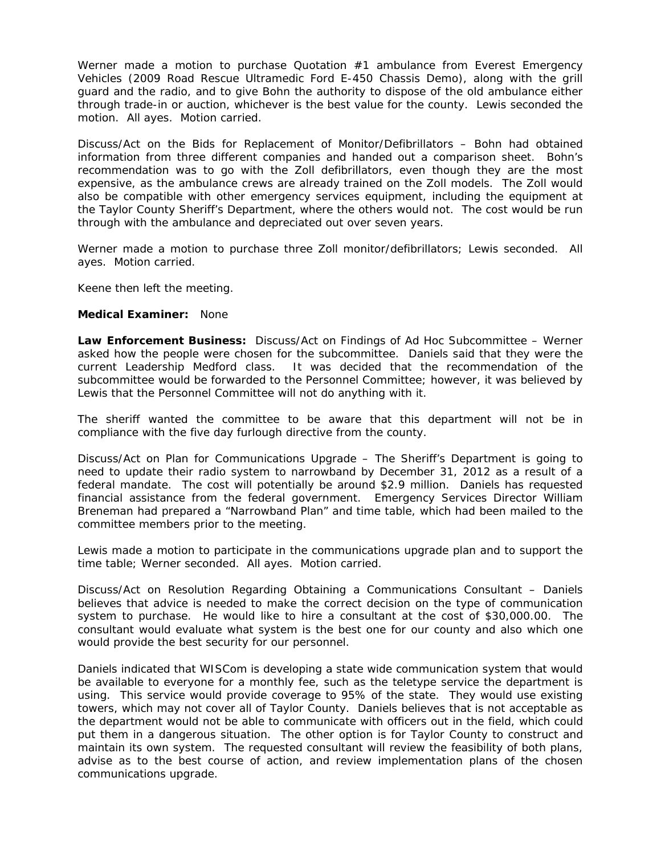Werner made a motion to purchase Quotation  $#1$  ambulance from Everest Emergency Vehicles (2009 Road Rescue Ultramedic Ford E-450 Chassis Demo), along with the grill guard and the radio, and to give Bohn the authority to dispose of the old ambulance either through trade-in or auction, whichever is the best value for the county. Lewis seconded the motion. All ayes. Motion carried.

Discuss/Act on the Bids for Replacement of Monitor/Defibrillators – Bohn had obtained information from three different companies and handed out a comparison sheet. Bohn's recommendation was to go with the Zoll defibrillators, even though they are the most expensive, as the ambulance crews are already trained on the Zoll models. The Zoll would also be compatible with other emergency services equipment, including the equipment at the Taylor County Sheriff's Department, where the others would not. The cost would be run through with the ambulance and depreciated out over seven years.

Werner made a motion to purchase three Zoll monitor/defibrillators; Lewis seconded. All ayes. Motion carried.

Keene then left the meeting.

#### **Medical Examiner:** None

**Law Enforcement Business:** Discuss/Act on Findings of Ad Hoc Subcommittee – Werner asked how the people were chosen for the subcommittee. Daniels said that they were the current Leadership Medford class. It was decided that the recommendation of the subcommittee would be forwarded to the Personnel Committee; however, it was believed by Lewis that the Personnel Committee will not do anything with it.

The sheriff wanted the committee to be aware that this department will not be in compliance with the five day furlough directive from the county.

Discuss/Act on Plan for Communications Upgrade – The Sheriff's Department is going to need to update their radio system to narrowband by December 31, 2012 as a result of a federal mandate. The cost will potentially be around \$2.9 million. Daniels has requested financial assistance from the federal government. Emergency Services Director William Breneman had prepared a "Narrowband Plan" and time table, which had been mailed to the committee members prior to the meeting.

Lewis made a motion to participate in the communications upgrade plan and to support the time table; Werner seconded. All ayes. Motion carried.

Discuss/Act on Resolution Regarding Obtaining a Communications Consultant – Daniels believes that advice is needed to make the correct decision on the type of communication system to purchase. He would like to hire a consultant at the cost of \$30,000.00. The consultant would evaluate what system is the best one for our county and also which one would provide the best security for our personnel.

Daniels indicated that WISCom is developing a state wide communication system that would be available to everyone for a monthly fee, such as the teletype service the department is using. This service would provide coverage to 95% of the state. They would use existing towers, which may not cover all of Taylor County. Daniels believes that is not acceptable as the department would not be able to communicate with officers out in the field, which could put them in a dangerous situation. The other option is for Taylor County to construct and maintain its own system. The requested consultant will review the feasibility of both plans, advise as to the best course of action, and review implementation plans of the chosen communications upgrade.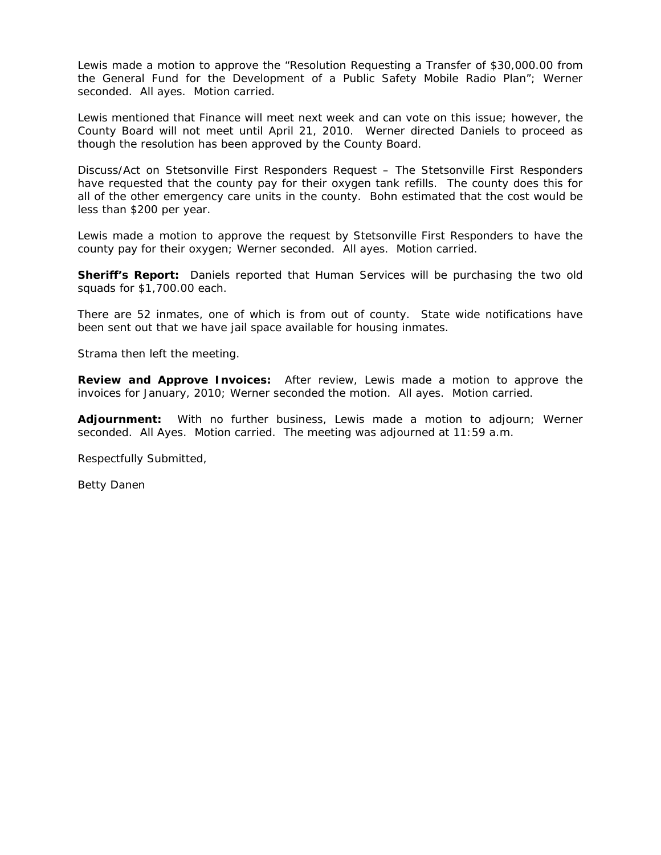Lewis made a motion to approve the "Resolution Requesting a Transfer of \$30,000.00 from the General Fund for the Development of a Public Safety Mobile Radio Plan"; Werner seconded. All ayes. Motion carried.

Lewis mentioned that Finance will meet next week and can vote on this issue; however, the County Board will not meet until April 21, 2010. Werner directed Daniels to proceed as though the resolution has been approved by the County Board.

Discuss/Act on Stetsonville First Responders Request – The Stetsonville First Responders have requested that the county pay for their oxygen tank refills. The county does this for all of the other emergency care units in the county. Bohn estimated that the cost would be less than \$200 per year.

Lewis made a motion to approve the request by Stetsonville First Responders to have the county pay for their oxygen; Werner seconded. All ayes. Motion carried.

**Sheriff's Report:** Daniels reported that Human Services will be purchasing the two old squads for \$1,700.00 each.

There are 52 inmates, one of which is from out of county. State wide notifications have been sent out that we have jail space available for housing inmates.

Strama then left the meeting.

**Review and Approve Invoices:** After review, Lewis made a motion to approve the invoices for January, 2010; Werner seconded the motion. All ayes. Motion carried.

**Adjournment:** With no further business, Lewis made a motion to adjourn; Werner seconded. All Ayes. Motion carried. The meeting was adjourned at 11:59 a.m.

Respectfully Submitted,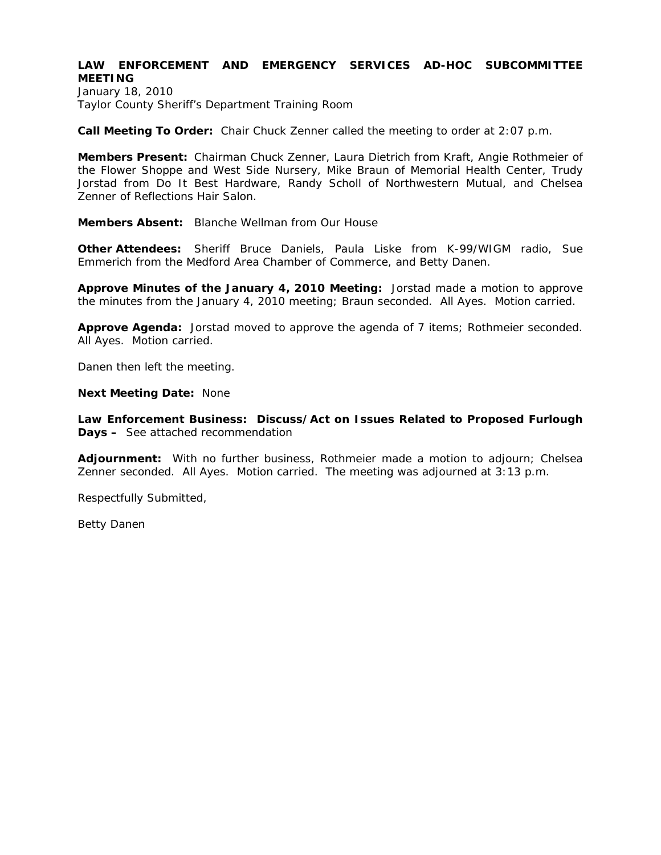January 18, 2010 Taylor County Sheriff's Department Training Room

**Call Meeting To Order:** Chair Chuck Zenner called the meeting to order at 2:07 p.m.

**Members Present:** Chairman Chuck Zenner, Laura Dietrich from Kraft, Angie Rothmeier of the Flower Shoppe and West Side Nursery, Mike Braun of Memorial Health Center, Trudy Jorstad from Do It Best Hardware, Randy Scholl of Northwestern Mutual, and Chelsea Zenner of Reflections Hair Salon.

**Members Absent:** Blanche Wellman from Our House

**Other Attendees:** Sheriff Bruce Daniels, Paula Liske from K-99/WIGM radio, Sue Emmerich from the Medford Area Chamber of Commerce, and Betty Danen.

**Approve Minutes of the January 4, 2010 Meeting:** Jorstad made a motion to approve the minutes from the January 4, 2010 meeting; Braun seconded. All Ayes. Motion carried.

**Approve Agenda:** Jorstad moved to approve the agenda of 7 items; Rothmeier seconded. All Ayes. Motion carried.

Danen then left the meeting.

**Next Meeting Date:** None

**Law Enforcement Business: Discuss/Act on Issues Related to Proposed Furlough Days –** See attached recommendation

**Adjournment:** With no further business, Rothmeier made a motion to adjourn; Chelsea Zenner seconded. All Ayes. Motion carried. The meeting was adjourned at 3:13 p.m.

Respectfully Submitted,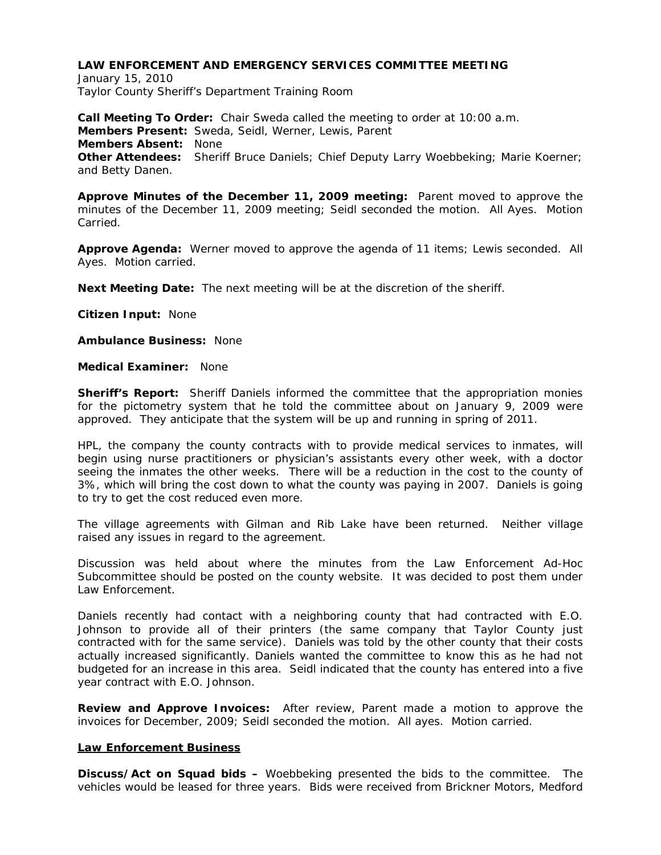January 15, 2010 Taylor County Sheriff's Department Training Room

**Call Meeting To Order:** Chair Sweda called the meeting to order at 10:00 a.m. **Members Present:** Sweda, Seidl, Werner, Lewis, Parent **Members Absent:** None **Other Attendees:** Sheriff Bruce Daniels; Chief Deputy Larry Woebbeking; Marie Koerner; and Betty Danen.

**Approve Minutes of the December 11, 2009 meeting:** Parent moved to approve the minutes of the December 11, 2009 meeting; Seidl seconded the motion. All Ayes. Motion Carried.

**Approve Agenda:** Werner moved to approve the agenda of 11 items; Lewis seconded. All Ayes. Motion carried.

**Next Meeting Date:** The next meeting will be at the discretion of the sheriff.

**Citizen Input:** None

**Ambulance Business:** None

**Medical Examiner:** None

**Sheriff's Report:** Sheriff Daniels informed the committee that the appropriation monies for the pictometry system that he told the committee about on January 9, 2009 were approved. They anticipate that the system will be up and running in spring of 2011.

HPL, the company the county contracts with to provide medical services to inmates, will begin using nurse practitioners or physician's assistants every other week, with a doctor seeing the inmates the other weeks. There will be a reduction in the cost to the county of 3%, which will bring the cost down to what the county was paying in 2007. Daniels is going to try to get the cost reduced even more.

The village agreements with Gilman and Rib Lake have been returned. Neither village raised any issues in regard to the agreement.

Discussion was held about where the minutes from the Law Enforcement Ad-Hoc Subcommittee should be posted on the county website. It was decided to post them under Law Enforcement.

Daniels recently had contact with a neighboring county that had contracted with E.O. Johnson to provide all of their printers (the same company that Taylor County just contracted with for the same service). Daniels was told by the other county that their costs actually increased significantly. Daniels wanted the committee to know this as he had not budgeted for an increase in this area. Seidl indicated that the county has entered into a five year contract with E.O. Johnson.

**Review and Approve Invoices:** After review, Parent made a motion to approve the invoices for December, 2009; Seidl seconded the motion. All ayes. Motion carried.

#### **Law Enforcement Business**

**Discuss/Act on Squad bids –** Woebbeking presented the bids to the committee. The vehicles would be leased for three years. Bids were received from Brickner Motors, Medford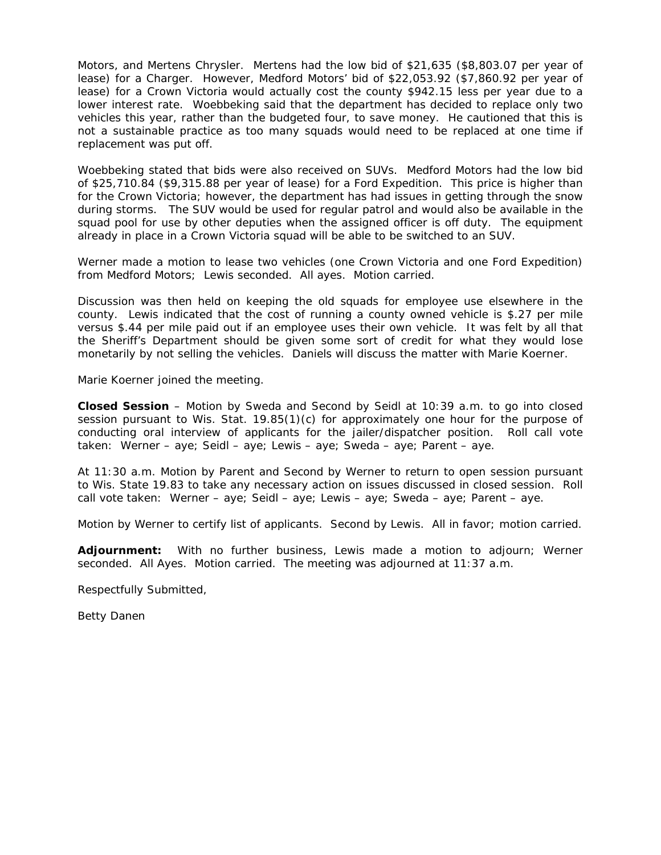Motors, and Mertens Chrysler. Mertens had the low bid of \$21,635 (\$8,803.07 per year of lease) for a Charger. However, Medford Motors' bid of \$22,053.92 (\$7,860.92 per year of lease) for a Crown Victoria would actually cost the county \$942.15 less per year due to a lower interest rate. Woebbeking said that the department has decided to replace only two vehicles this year, rather than the budgeted four, to save money. He cautioned that this is not a sustainable practice as too many squads would need to be replaced at one time if replacement was put off.

Woebbeking stated that bids were also received on SUVs. Medford Motors had the low bid of \$25,710.84 (\$9,315.88 per year of lease) for a Ford Expedition. This price is higher than for the Crown Victoria; however, the department has had issues in getting through the snow during storms. The SUV would be used for regular patrol and would also be available in the squad pool for use by other deputies when the assigned officer is off duty. The equipment already in place in a Crown Victoria squad will be able to be switched to an SUV.

Werner made a motion to lease two vehicles (one Crown Victoria and one Ford Expedition) from Medford Motors; Lewis seconded. All ayes. Motion carried.

Discussion was then held on keeping the old squads for employee use elsewhere in the county. Lewis indicated that the cost of running a county owned vehicle is \$.27 per mile versus \$.44 per mile paid out if an employee uses their own vehicle. It was felt by all that the Sheriff's Department should be given some sort of credit for what they would lose monetarily by not selling the vehicles. Daniels will discuss the matter with Marie Koerner.

Marie Koerner joined the meeting.

**Closed Session** – Motion by Sweda and Second by Seidl at 10:39 a.m. to go into closed session pursuant to Wis. Stat. 19.85(1)(c) for approximately one hour for the purpose of conducting oral interview of applicants for the jailer/dispatcher position. Roll call vote taken: Werner – aye; Seidl – aye; Lewis – aye; Sweda – aye; Parent – aye.

At 11:30 a.m. Motion by Parent and Second by Werner to return to open session pursuant to Wis. State 19.83 to take any necessary action on issues discussed in closed session. Roll call vote taken: Werner – aye; Seidl – aye; Lewis – aye; Sweda – aye; Parent – aye.

Motion by Werner to certify list of applicants. Second by Lewis. All in favor; motion carried.

**Adjournment:** With no further business, Lewis made a motion to adjourn; Werner seconded. All Ayes. Motion carried. The meeting was adjourned at 11:37 a.m.

Respectfully Submitted,